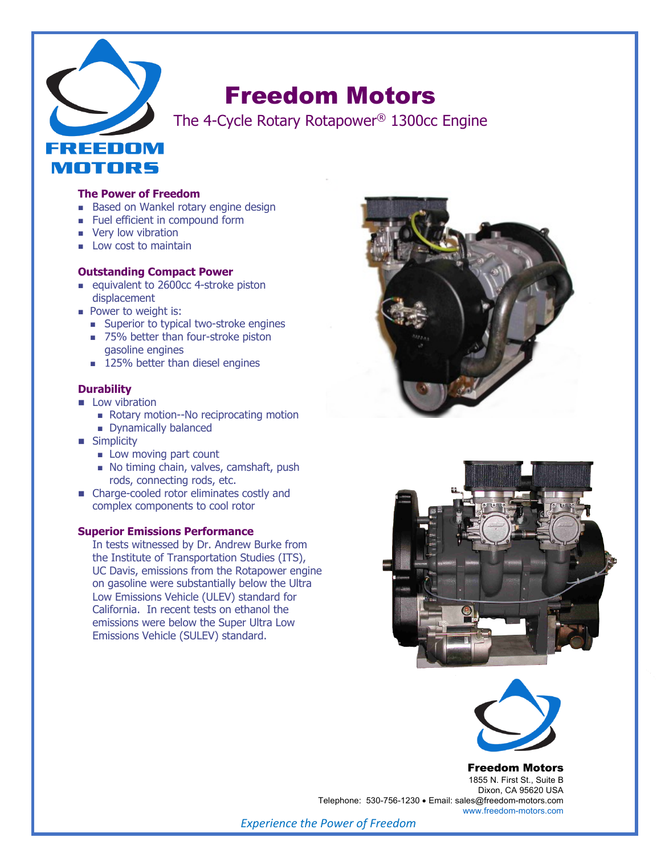

# Freedom Motors

The 4-Cycle Rotary Rotapower® 1300cc Engine

#### **The Power of Freedom**

- **Based on Wankel rotary engine design**
- **n** Fuel efficient in compound form
- **No Very low vibration**
- $\blacksquare$  Low cost to maintain

#### **Outstanding Compact Power**

- equivalent to 2600cc 4-stroke piston displacement
- **Power to weight is:** 
	- Superior to typical two-stroke engines
	- 75% better than four-stroke piston gasoline engines
	- **125% better than diesel engines**

#### **Durability**

- **n** Low vibration
	- Rotary motion--No reciprocating motion
	- **n** Dynamically balanced
- **n** Simplicity
	- $\blacksquare$  Low moving part count
	- No timing chain, valves, camshaft, push rods, connecting rods, etc.
- Charge-cooled rotor eliminates costly and complex components to cool rotor

#### **Superior Emissions Performance**

In tests witnessed by Dr. Andrew Burke from the Institute of Transportation Studies (ITS), UC Davis, emissions from the Rotapower engine on gasoline were substantially below the Ultra Low Emissions Vehicle (ULEV) standard for California. In recent tests on ethanol the emissions were below the Super Ultra Low Emissions Vehicle (SULEV) standard.







#### Freedom Motors

1855 N. First St., Suite B Dixon, CA 95620 USA Telephone: 530-756-1230 • Email: sales@freedom-motors.com www.freedom-motors.com

*Experience the Power of Freedom*